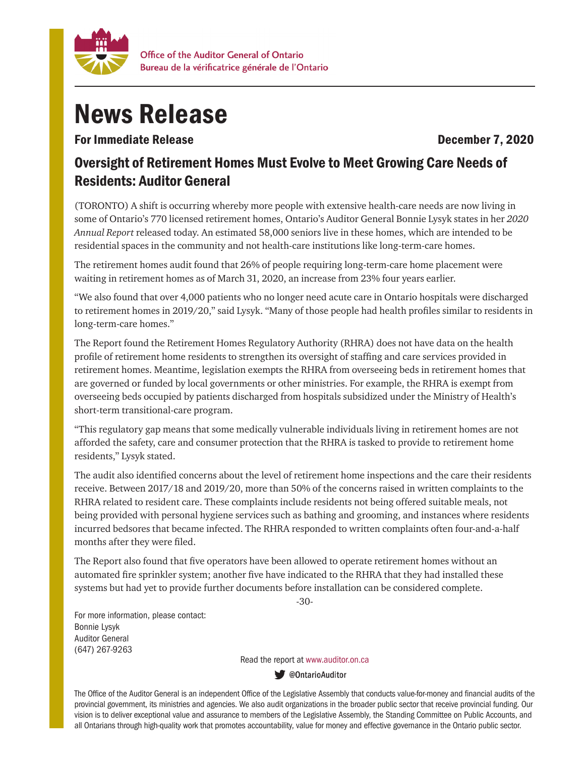

## News Release

For Immediate Release **December 7, 2020** 

## Oversight of Retirement Homes Must Evolve to Meet Growing Care Needs of Residents: Auditor General

(TORONTO) A shift is occurring whereby more people with extensive health-care needs are now living in some of Ontario's 770 licensed retirement homes, Ontario's Auditor General Bonnie Lysyk states in her *2020 Annual Report* released today. An estimated 58,000 seniors live in these homes, which are intended to be residential spaces in the community and not health-care institutions like long-term-care homes.

The retirement homes audit found that 26% of people requiring long-term-care home placement were waiting in retirement homes as of March 31, 2020, an increase from 23% four years earlier.

"We also found that over 4,000 patients who no longer need acute care in Ontario hospitals were discharged to retirement homes in 2019/20," said Lysyk. "Many of those people had health profiles similar to residents in long-term-care homes."

The Report found the Retirement Homes Regulatory Authority (RHRA) does not have data on the health profile of retirement home residents to strengthen its oversight of staffing and care services provided in retirement homes. Meantime, legislation exempts the RHRA from overseeing beds in retirement homes that are governed or funded by local governments or other ministries. For example, the RHRA is exempt from overseeing beds occupied by patients discharged from hospitals subsidized under the Ministry of Health's short-term transitional-care program.

"This regulatory gap means that some medically vulnerable individuals living in retirement homes are not afforded the safety, care and consumer protection that the RHRA is tasked to provide to retirement home residents," Lysyk stated.

The audit also identified concerns about the level of retirement home inspections and the care their residents receive. Between 2017/18 and 2019/20, more than 50% of the concerns raised in written complaints to the RHRA related to resident care. These complaints include residents not being offered suitable meals, not being provided with personal hygiene services such as bathing and grooming, and instances where residents incurred bedsores that became infected. The RHRA responded to written complaints often four-and-a-half months after they were filed.

The Report also found that five operators have been allowed to operate retirement homes without an automated fire sprinkler system; another five have indicated to the RHRA that they had installed these systems but had yet to provide further documents before installation can be considered complete.

-30-

For more information, please contact: Bonnie Lysyk Auditor General (647) 267-9263

Read the report at www.auditor.on.ca

**W** @OntarioAuditor

The Office of the Auditor General is an independent Office of the Legislative Assembly that conducts value-for-money and financial audits of the provincial government, its ministries and agencies. We also audit organizations in the broader public sector that receive provincial funding. Our vision is to deliver exceptional value and assurance to members of the Legislative Assembly, the Standing Committee on Public Accounts, and all Ontarians through high-quality work that promotes accountability, value for money and effective governance in the Ontario public sector.